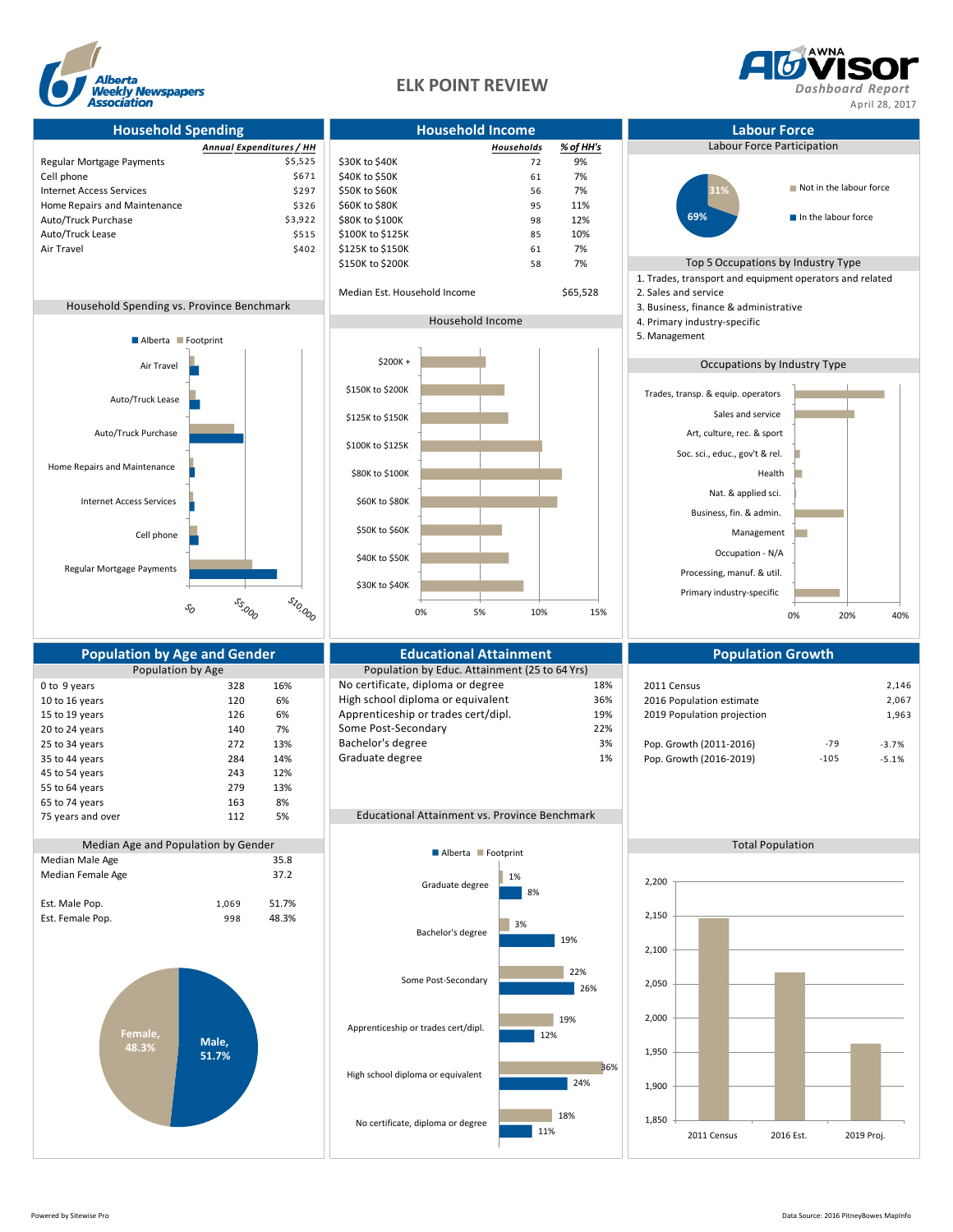